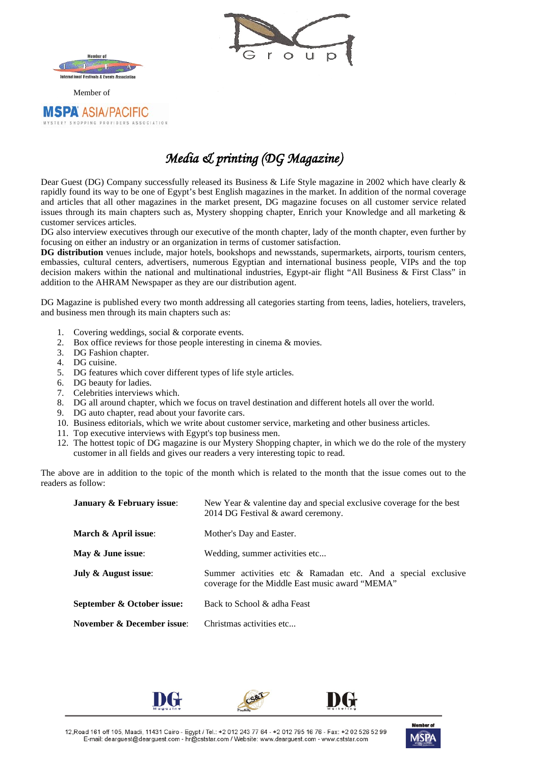

**MSPA ASIA/PACIFIC** TERY SHOPPING PROVIDERS ASSOCIATION



*Media & printing (DG Magazine)* 

Dear Guest (DG) Company successfully released its Business & Life Style magazine in 2002 which have clearly & rapidly found its way to be one of Egypt's best English magazines in the market. In addition of the normal coverage and articles that all other magazines in the market present, DG magazine focuses on all customer service related issues through its main chapters such as, Mystery shopping chapter, Enrich your Knowledge and all marketing & customer services articles.

DG also interview executives through our executive of the month chapter, lady of the month chapter, even further by focusing on either an industry or an organization in terms of customer satisfaction.

**DG distribution** venues include, major hotels, bookshops and newsstands, supermarkets, airports, tourism centers, embassies, cultural centers, advertisers, numerous Egyptian and international business people, VIPs and the top decision makers within the national and multinational industries, Egypt-air flight "All Business & First Class" in addition to the AHRAM Newspaper as they are our distribution agent.

DG Magazine is published every two month addressing all categories starting from teens, ladies, hoteliers, travelers, and business men through its main chapters such as:

- 1. Covering weddings, social & corporate events.
- 2. Box office reviews for those people interesting in cinema & movies.
- 3. DG Fashion chapter.
- 4. DG cuisine.<br>5. DG features
- 5. DG features which cover different types of life style articles.
- 6. DG beauty for ladies.
- 7. Celebrities interviews which.
- 8. DG all around chapter, which we focus on travel destination and different hotels all over the world.
- 9. DG auto chapter, read about your favorite cars.
- 10. Business editorials, which we write about customer service, marketing and other business articles.
- 11. Top executive interviews with Egypt's top business men.
- 12. The hottest topic of DG magazine is our Mystery Shopping chapter, in which we do the role of the mystery customer in all fields and gives our readers a very interesting topic to read.

The above are in addition to the topic of the month which is related to the month that the issue comes out to the readers as follow:

| January & February issue:  | New Year & valentine day and special exclusive coverage for the best<br>2014 DG Festival & award ceremony.      |  |  |  |
|----------------------------|-----------------------------------------------------------------------------------------------------------------|--|--|--|
| March & April issue:       | Mother's Day and Easter.                                                                                        |  |  |  |
| May & June issue:          | Wedding, summer activities etc                                                                                  |  |  |  |
| July & August issue:       | Summer activities etc & Ramadan etc. And a special exclusive<br>coverage for the Middle East music award "MEMA" |  |  |  |
| September & October issue: | Back to School & adha Feast                                                                                     |  |  |  |
| November & December issue: | Christmas activities etc                                                                                        |  |  |  |





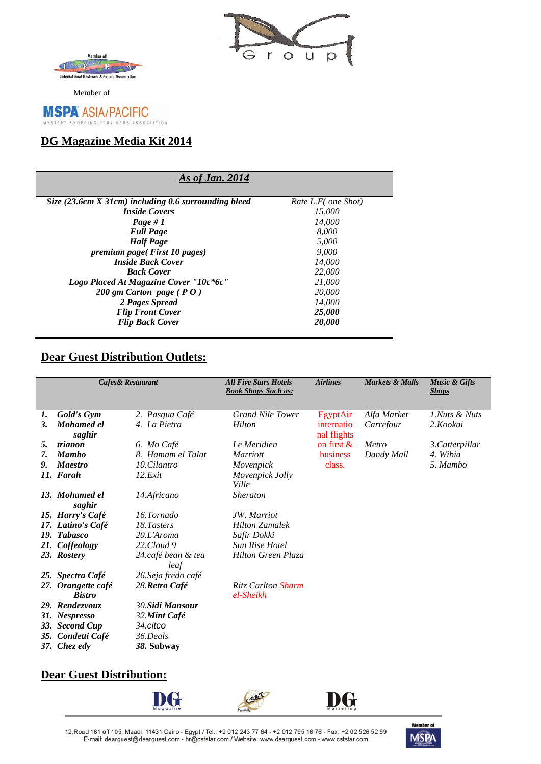



Member of

#### **MSPA ASIA/PACIFIC** STERY SHOPPING PROVIDERS ASSOCIATION

## *<sup>U</sup>***DG Magazine Media Kit 2014**

### *<sup>U</sup>As of Jan. 2014*

| Size (23.6cm X 31cm) including 0.6 surrounding bleed | Rate L.E( one Shot) |
|------------------------------------------------------|---------------------|
| <b>Inside Covers</b>                                 | 15,000              |
| Page #1                                              | 14,000              |
| <b>Full Page</b>                                     | 8.000               |
| <b>Half</b> Page                                     | 5.000               |
| <i>premium page</i> ( <i>First 10 pages</i> )        | 9.000               |
| <b>Inside Back Cover</b>                             | 14,000              |
| <b>Back Cover</b>                                    | 22,000              |
| Logo Placed At Magazine Cover "10c*6c"               | 21,000              |
| 200 gm Carton page ( $P O$ )                         | 20,000              |
| 2 Pages Spread                                       | 14,000              |
| <b>Flip Front Cover</b>                              | 25,000              |
| <b>Flip Back Cover</b>                               | 20,000              |

# **Dear Guest Distribution Outlets:**

| <b>Cafes&amp; Restaurant</b> |                                     | <b>All Five Stars Hotels</b><br><b>Book Shops Such as:</b> | <b>Airlines</b>                        | <b>Markets &amp; Malls</b> | <b>Music &amp; Gifts</b><br><b>Shops</b> |                 |
|------------------------------|-------------------------------------|------------------------------------------------------------|----------------------------------------|----------------------------|------------------------------------------|-----------------|
| 1.                           | Gold's Gym                          | 2. Pasqua Café                                             | <b>Grand Nile Tower</b>                | EgyptAir                   | Alfa Market                              | 1.Nuts & Nuts   |
| 3.                           | Mohamed el<br>saghir                | 4. La Pietra                                               | Hilton                                 | internatio<br>nal flights  | Carrefour                                | 2.Kookai        |
| 5.                           | trianon                             | 6. Mo Café                                                 | Le Meridien                            | on first $\&$              | Metro                                    | 3. Catterpillar |
| 7.                           | <b>Mambo</b>                        | 8. Hamam el Talat                                          | <b>Marriott</b>                        | business                   | Dandy Mall                               | 4. Wibia        |
| 9.                           | <b>Maestro</b>                      | 10.Cilantro                                                | Movenpick                              | class.                     |                                          | 5. Mambo        |
|                              | 11. Farah                           | 12.Exit                                                    | Movenpick Jolly<br>Ville               |                            |                                          |                 |
|                              | 13. Mohamed el<br>saghir            | 14.Africano                                                | <b>Sheraton</b>                        |                            |                                          |                 |
|                              | 15. Harry's Café                    | 16.Tornado                                                 | JW. Marriot                            |                            |                                          |                 |
|                              | 17. Latino's Café                   | 18.Tasters                                                 | <b>Hilton Zamalek</b>                  |                            |                                          |                 |
| 19.                          | <b>Tabasco</b>                      | $20.L'A$ roma                                              | Safir Dokki                            |                            |                                          |                 |
|                              | 21. Coffeology                      | 22.Cloud 9                                                 | <b>Sun Rise Hotel</b>                  |                            |                                          |                 |
|                              | 23. Rostery                         | 24.café bean & tea<br>leaf                                 | <b>Hilton Green Plaza</b>              |                            |                                          |                 |
|                              | 25. Spectra Café                    | 26. Seja fredo café                                        |                                        |                            |                                          |                 |
|                              | 27. Orangette café<br><b>Bistro</b> | 28. Retro Café                                             | <b>Ritz Carlton Sharm</b><br>el-Sheikh |                            |                                          |                 |
|                              | 29. Rendezvouz                      | 30.Sidi Mansour                                            |                                        |                            |                                          |                 |
|                              | 31. Nespresso                       | 32.Mint Café                                               |                                        |                            |                                          |                 |
|                              | 33. Second Cup                      | 34.citco                                                   |                                        |                            |                                          |                 |
|                              | 35. Condetti Café                   | 36.Deals                                                   |                                        |                            |                                          |                 |
|                              | 37. Chez edy                        | 38. Subway                                                 |                                        |                            |                                          |                 |

# **Dear Guest Distribution:**